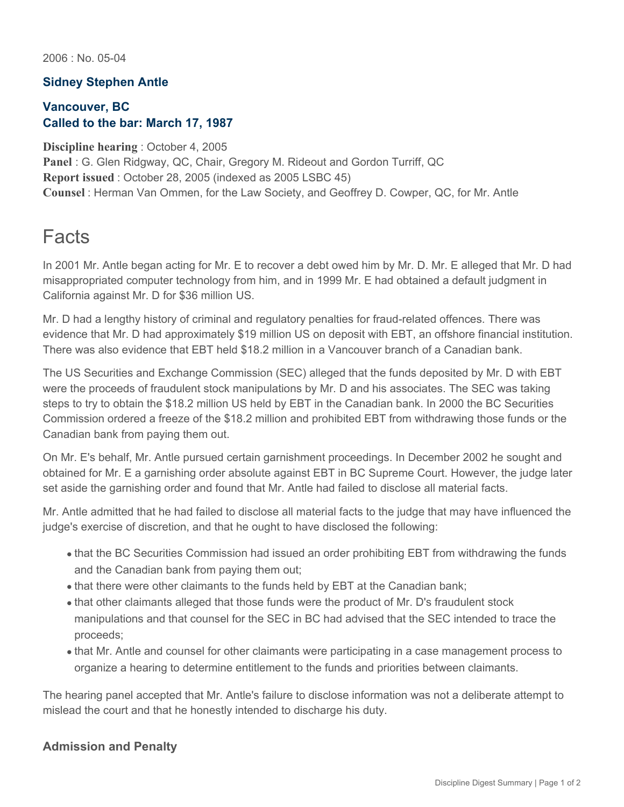2006 : No. 05-04

## **Sidney Stephen Antle**

## **Vancouver, BC Called to the bar: March 17, 1987**

**Discipline hearing** : October 4, 2005

**Panel** : G. Glen Ridgway, QC, Chair, Gregory M. Rideout and Gordon Turriff, QC **Report issued** : October 28, 2005 (indexed as 2005 LSBC 45) **Counsel** : Herman Van Ommen, for the Law Society, and Geoffrey D. Cowper, QC, for Mr. Antle

## Facts

In 2001 Mr. Antle began acting for Mr. E to recover a debt owed him by Mr. D. Mr. E alleged that Mr. D had misappropriated computer technology from him, and in 1999 Mr. E had obtained a default judgment in California against Mr. D for \$36 million US.

Mr. D had a lengthy history of criminal and regulatory penalties for fraud-related offences. There was evidence that Mr. D had approximately \$19 million US on deposit with EBT, an offshore financial institution. There was also evidence that EBT held \$18.2 million in a Vancouver branch of a Canadian bank.

The US Securities and Exchange Commission (SEC) alleged that the funds deposited by Mr. D with EBT were the proceeds of fraudulent stock manipulations by Mr. D and his associates. The SEC was taking steps to try to obtain the \$18.2 million US held by EBT in the Canadian bank. In 2000 the BC Securities Commission ordered a freeze of the \$18.2 million and prohibited EBT from withdrawing those funds or the Canadian bank from paying them out.

On Mr. E's behalf, Mr. Antle pursued certain garnishment proceedings. In December 2002 he sought and obtained for Mr. E a garnishing order absolute against EBT in BC Supreme Court. However, the judge later set aside the garnishing order and found that Mr. Antle had failed to disclose all material facts.

Mr. Antle admitted that he had failed to disclose all material facts to the judge that may have influenced the judge's exercise of discretion, and that he ought to have disclosed the following:

- that the BC Securities Commission had issued an order prohibiting EBT from withdrawing the funds and the Canadian bank from paying them out;
- that there were other claimants to the funds held by EBT at the Canadian bank;
- that other claimants alleged that those funds were the product of Mr. D's fraudulent stock manipulations and that counsel for the SEC in BC had advised that the SEC intended to trace the proceeds;
- that Mr. Antle and counsel for other claimants were participating in a case management process to organize a hearing to determine entitlement to the funds and priorities between claimants.

The hearing panel accepted that Mr. Antle's failure to disclose information was not a deliberate attempt to mislead the court and that he honestly intended to discharge his duty.

## **Admission and Penalty**